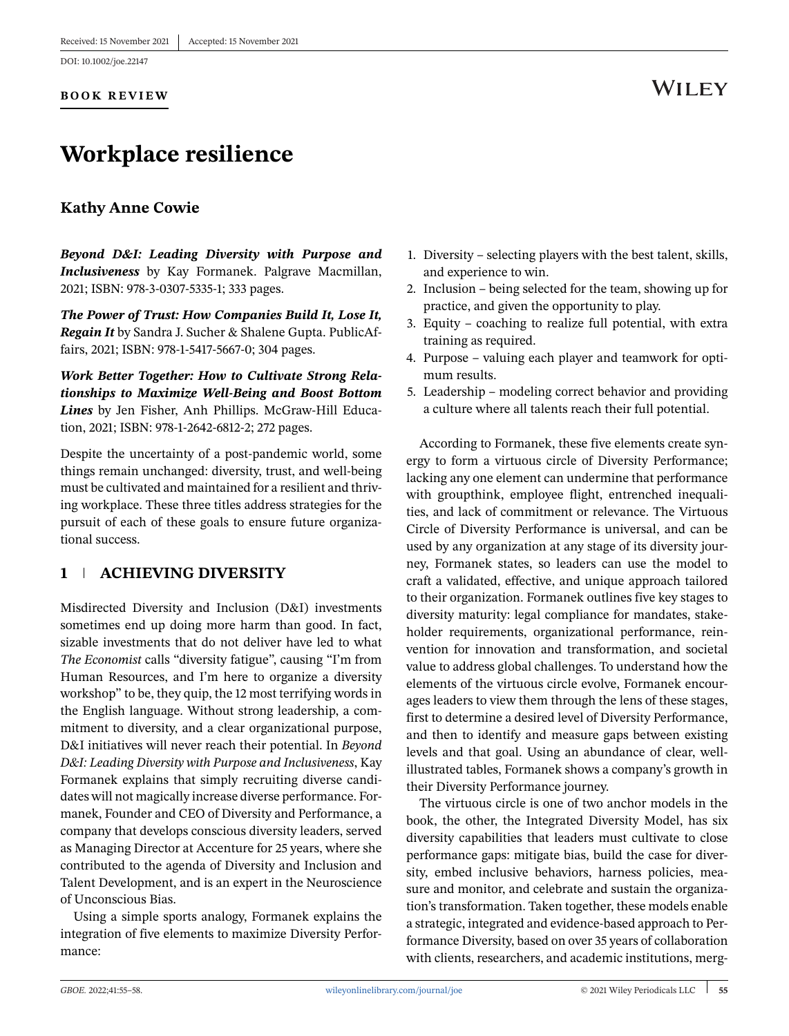DOI: 10.1002/joe.22147

**BOOK REVIEW**

# **Workplace resilience**

### **Kathy Anne Cowie**

*Beyond D&I: Leading Diversity with Purpose and Inclusiveness* by Kay Formanek. Palgrave Macmillan, 2021; ISBN: 978-3-0307-5335-1; 333 pages.

*The Power of Trust: How Companies Build It, Lose It, Regain It* by Sandra J. Sucher & Shalene Gupta. PublicAffairs, 2021; ISBN: 978-1-5417-5667-0; 304 pages.

*Work Better Together: How to Cultivate Strong Relationships to Maximize Well-Being and Boost Bottom Lines* by Jen Fisher, Anh Phillips. McGraw-Hill Education, 2021; ISBN: 978-1-2642-6812-2; 272 pages.

Despite the uncertainty of a post-pandemic world, some things remain unchanged: diversity, trust, and well-being must be cultivated and maintained for a resilient and thriving workplace. These three titles address strategies for the pursuit of each of these goals to ensure future organizational success.

## **1 ACHIEVING DIVERSITY**

Misdirected Diversity and Inclusion (D&I) investments sometimes end up doing more harm than good. In fact, sizable investments that do not deliver have led to what *The Economist* calls "diversity fatigue", causing "I'm from Human Resources, and I'm here to organize a diversity workshop" to be, they quip, the 12 most terrifying words in the English language. Without strong leadership, a commitment to diversity, and a clear organizational purpose, D&I initiatives will never reach their potential. In *Beyond D&I: Leading Diversity with Purpose and Inclusiveness*, Kay Formanek explains that simply recruiting diverse candidates will not magically increase diverse performance. Formanek, Founder and CEO of Diversity and Performance, a company that develops conscious diversity leaders, served as Managing Director at Accenture for 25 years, where she contributed to the agenda of Diversity and Inclusion and Talent Development, and is an expert in the Neuroscience of Unconscious Bias.

Using a simple sports analogy, Formanek explains the integration of five elements to maximize Diversity Performance:

- 1. Diversity selecting players with the best talent, skills, and experience to win.
- 2. Inclusion being selected for the team, showing up for practice, and given the opportunity to play.
- 3. Equity coaching to realize full potential, with extra training as required.
- 4. Purpose valuing each player and teamwork for optimum results.
- 5. Leadership modeling correct behavior and providing a culture where all talents reach their full potential.

According to Formanek, these five elements create synergy to form a virtuous circle of Diversity Performance; lacking any one element can undermine that performance with groupthink, employee flight, entrenched inequalities, and lack of commitment or relevance. The Virtuous Circle of Diversity Performance is universal, and can be used by any organization at any stage of its diversity journey, Formanek states, so leaders can use the model to craft a validated, effective, and unique approach tailored to their organization. Formanek outlines five key stages to diversity maturity: legal compliance for mandates, stakeholder requirements, organizational performance, reinvention for innovation and transformation, and societal value to address global challenges. To understand how the elements of the virtuous circle evolve, Formanek encourages leaders to view them through the lens of these stages, first to determine a desired level of Diversity Performance, and then to identify and measure gaps between existing levels and that goal. Using an abundance of clear, wellillustrated tables, Formanek shows a company's growth in their Diversity Performance journey.

The virtuous circle is one of two anchor models in the book, the other, the Integrated Diversity Model, has six diversity capabilities that leaders must cultivate to close performance gaps: mitigate bias, build the case for diversity, embed inclusive behaviors, harness policies, measure and monitor, and celebrate and sustain the organization's transformation. Taken together, these models enable a strategic, integrated and evidence-based approach to Performance Diversity, based on over 35 years of collaboration with clients, researchers, and academic institutions, merg-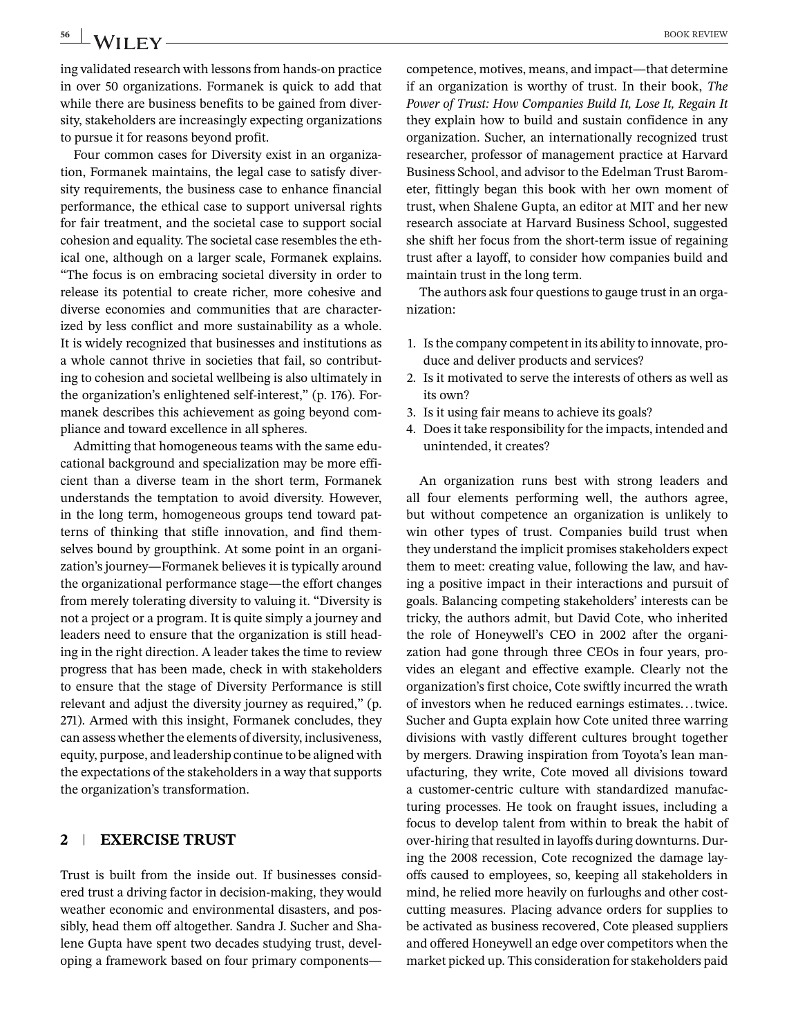# **56 WII FV** BOOK REVIEW

ing validated research with lessons from hands-on practice in over 50 organizations. Formanek is quick to add that while there are business benefits to be gained from diversity, stakeholders are increasingly expecting organizations to pursue it for reasons beyond profit.

Four common cases for Diversity exist in an organization, Formanek maintains, the legal case to satisfy diversity requirements, the business case to enhance financial performance, the ethical case to support universal rights for fair treatment, and the societal case to support social cohesion and equality. The societal case resembles the ethical one, although on a larger scale, Formanek explains. "The focus is on embracing societal diversity in order to release its potential to create richer, more cohesive and diverse economies and communities that are characterized by less conflict and more sustainability as a whole. It is widely recognized that businesses and institutions as a whole cannot thrive in societies that fail, so contributing to cohesion and societal wellbeing is also ultimately in the organization's enlightened self-interest," (p. 176). Formanek describes this achievement as going beyond compliance and toward excellence in all spheres.

Admitting that homogeneous teams with the same educational background and specialization may be more efficient than a diverse team in the short term, Formanek understands the temptation to avoid diversity. However, in the long term, homogeneous groups tend toward patterns of thinking that stifle innovation, and find themselves bound by groupthink. At some point in an organization's journey—Formanek believes it is typically around the organizational performance stage—the effort changes from merely tolerating diversity to valuing it. "Diversity is not a project or a program. It is quite simply a journey and leaders need to ensure that the organization is still heading in the right direction. A leader takes the time to review progress that has been made, check in with stakeholders to ensure that the stage of Diversity Performance is still relevant and adjust the diversity journey as required," (p. 271). Armed with this insight, Formanek concludes, they can assess whether the elements of diversity, inclusiveness, equity, purpose, and leadership continue to be aligned with the expectations of the stakeholders in a way that supports the organization's transformation.

#### **2 EXERCISE TRUST**

Trust is built from the inside out. If businesses considered trust a driving factor in decision-making, they would weather economic and environmental disasters, and possibly, head them off altogether. Sandra J. Sucher and Shalene Gupta have spent two decades studying trust, developing a framework based on four primary componentscompetence, motives, means, and impact—that determine if an organization is worthy of trust. In their book, *The Power of Trust: How Companies Build It, Lose It, Regain It* they explain how to build and sustain confidence in any organization. Sucher, an internationally recognized trust researcher, professor of management practice at Harvard Business School, and advisor to the Edelman Trust Barometer, fittingly began this book with her own moment of trust, when Shalene Gupta, an editor at MIT and her new research associate at Harvard Business School, suggested she shift her focus from the short-term issue of regaining trust after a layoff, to consider how companies build and maintain trust in the long term.

The authors ask four questions to gauge trust in an organization:

- 1. Is the company competent in its ability to innovate, produce and deliver products and services?
- 2. Is it motivated to serve the interests of others as well as its own?
- 3. Is it using fair means to achieve its goals?
- 4. Does it take responsibility for the impacts, intended and unintended, it creates?

An organization runs best with strong leaders and all four elements performing well, the authors agree, but without competence an organization is unlikely to win other types of trust. Companies build trust when they understand the implicit promises stakeholders expect them to meet: creating value, following the law, and having a positive impact in their interactions and pursuit of goals. Balancing competing stakeholders' interests can be tricky, the authors admit, but David Cote, who inherited the role of Honeywell's CEO in 2002 after the organization had gone through three CEOs in four years, provides an elegant and effective example. Clearly not the organization's first choice, Cote swiftly incurred the wrath of investors when he reduced earnings estimates... twice. Sucher and Gupta explain how Cote united three warring divisions with vastly different cultures brought together by mergers. Drawing inspiration from Toyota's lean manufacturing, they write, Cote moved all divisions toward a customer-centric culture with standardized manufacturing processes. He took on fraught issues, including a focus to develop talent from within to break the habit of over-hiring that resulted in layoffs during downturns. During the 2008 recession, Cote recognized the damage layoffs caused to employees, so, keeping all stakeholders in mind, he relied more heavily on furloughs and other costcutting measures. Placing advance orders for supplies to be activated as business recovered, Cote pleased suppliers and offered Honeywell an edge over competitors when the market picked up. This consideration for stakeholders paid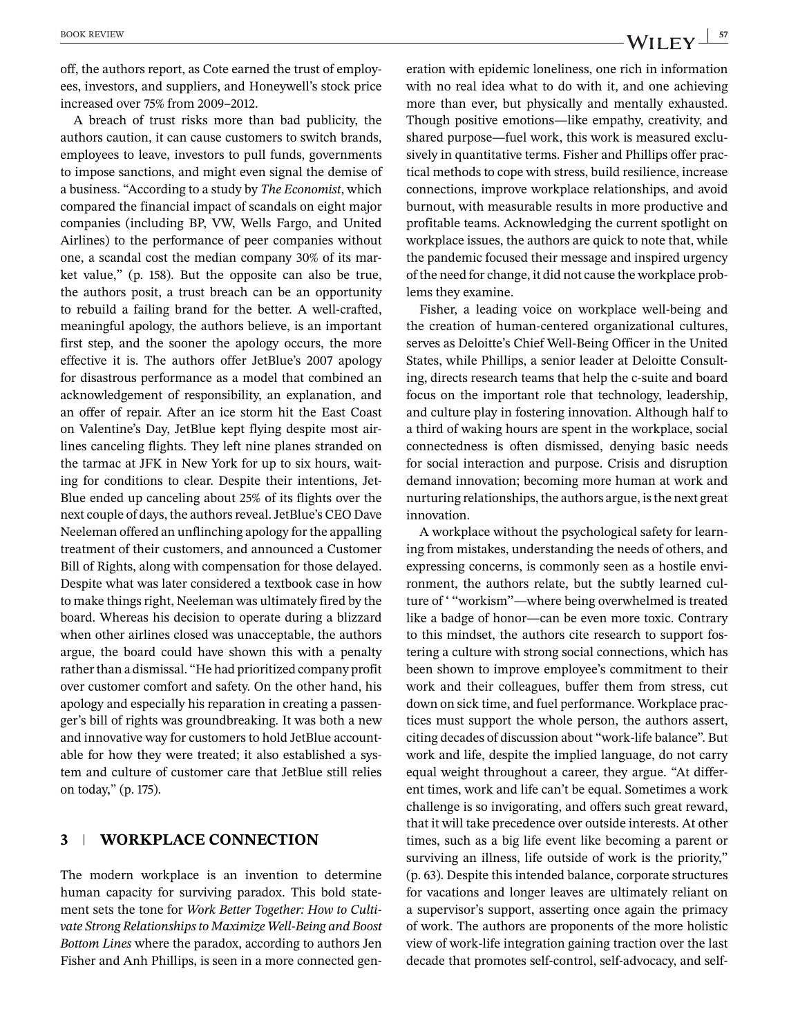off, the authors report, as Cote earned the trust of employees, investors, and suppliers, and Honeywell's stock price increased over 75% from 2009–2012.

A breach of trust risks more than bad publicity, the authors caution, it can cause customers to switch brands, employees to leave, investors to pull funds, governments to impose sanctions, and might even signal the demise of a business. "According to a study by *The Economist*, which compared the financial impact of scandals on eight major companies (including BP, VW, Wells Fargo, and United Airlines) to the performance of peer companies without one, a scandal cost the median company 30% of its market value," (p. 158). But the opposite can also be true, the authors posit, a trust breach can be an opportunity to rebuild a failing brand for the better. A well-crafted, meaningful apology, the authors believe, is an important first step, and the sooner the apology occurs, the more effective it is. The authors offer JetBlue's 2007 apology for disastrous performance as a model that combined an acknowledgement of responsibility, an explanation, and an offer of repair. After an ice storm hit the East Coast on Valentine's Day, JetBlue kept flying despite most airlines canceling flights. They left nine planes stranded on the tarmac at JFK in New York for up to six hours, waiting for conditions to clear. Despite their intentions, Jet-Blue ended up canceling about 25% of its flights over the next couple of days, the authors reveal. JetBlue's CEO Dave Neeleman offered an unflinching apology for the appalling treatment of their customers, and announced a Customer Bill of Rights, along with compensation for those delayed. Despite what was later considered a textbook case in how to make things right, Neeleman was ultimately fired by the board. Whereas his decision to operate during a blizzard when other airlines closed was unacceptable, the authors argue, the board could have shown this with a penalty rather than a dismissal. "He had prioritized company profit over customer comfort and safety. On the other hand, his apology and especially his reparation in creating a passenger's bill of rights was groundbreaking. It was both a new and innovative way for customers to hold JetBlue accountable for how they were treated; it also established a system and culture of customer care that JetBlue still relies on today," (p. 175).

## **3 WORKPLACE CONNECTION**

The modern workplace is an invention to determine human capacity for surviving paradox. This bold statement sets the tone for *Work Better Together: How to Cultivate Strong Relationships to Maximize Well-Being and Boost Bottom Lines* where the paradox, according to authors Jen Fisher and Anh Phillips, is seen in a more connected generation with epidemic loneliness, one rich in information with no real idea what to do with it, and one achieving more than ever, but physically and mentally exhausted. Though positive emotions—like empathy, creativity, and shared purpose—fuel work, this work is measured exclusively in quantitative terms. Fisher and Phillips offer practical methods to cope with stress, build resilience, increase connections, improve workplace relationships, and avoid burnout, with measurable results in more productive and profitable teams. Acknowledging the current spotlight on workplace issues, the authors are quick to note that, while the pandemic focused their message and inspired urgency of the need for change, it did not cause the workplace problems they examine.

Fisher, a leading voice on workplace well-being and the creation of human-centered organizational cultures, serves as Deloitte's Chief Well-Being Officer in the United States, while Phillips, a senior leader at Deloitte Consulting, directs research teams that help the c-suite and board focus on the important role that technology, leadership, and culture play in fostering innovation. Although half to a third of waking hours are spent in the workplace, social connectedness is often dismissed, denying basic needs for social interaction and purpose. Crisis and disruption demand innovation; becoming more human at work and nurturing relationships, the authors argue, is the next great innovation.

A workplace without the psychological safety for learning from mistakes, understanding the needs of others, and expressing concerns, is commonly seen as a hostile environment, the authors relate, but the subtly learned culture of ' ''workism''—where being overwhelmed is treated like a badge of honor—can be even more toxic. Contrary to this mindset, the authors cite research to support fostering a culture with strong social connections, which has been shown to improve employee's commitment to their work and their colleagues, buffer them from stress, cut down on sick time, and fuel performance. Workplace practices must support the whole person, the authors assert, citing decades of discussion about "work-life balance". But work and life, despite the implied language, do not carry equal weight throughout a career, they argue. "At different times, work and life can't be equal. Sometimes a work challenge is so invigorating, and offers such great reward, that it will take precedence over outside interests. At other times, such as a big life event like becoming a parent or surviving an illness, life outside of work is the priority," (p. 63). Despite this intended balance, corporate structures for vacations and longer leaves are ultimately reliant on a supervisor's support, asserting once again the primacy of work. The authors are proponents of the more holistic view of work-life integration gaining traction over the last decade that promotes self-control, self-advocacy, and self